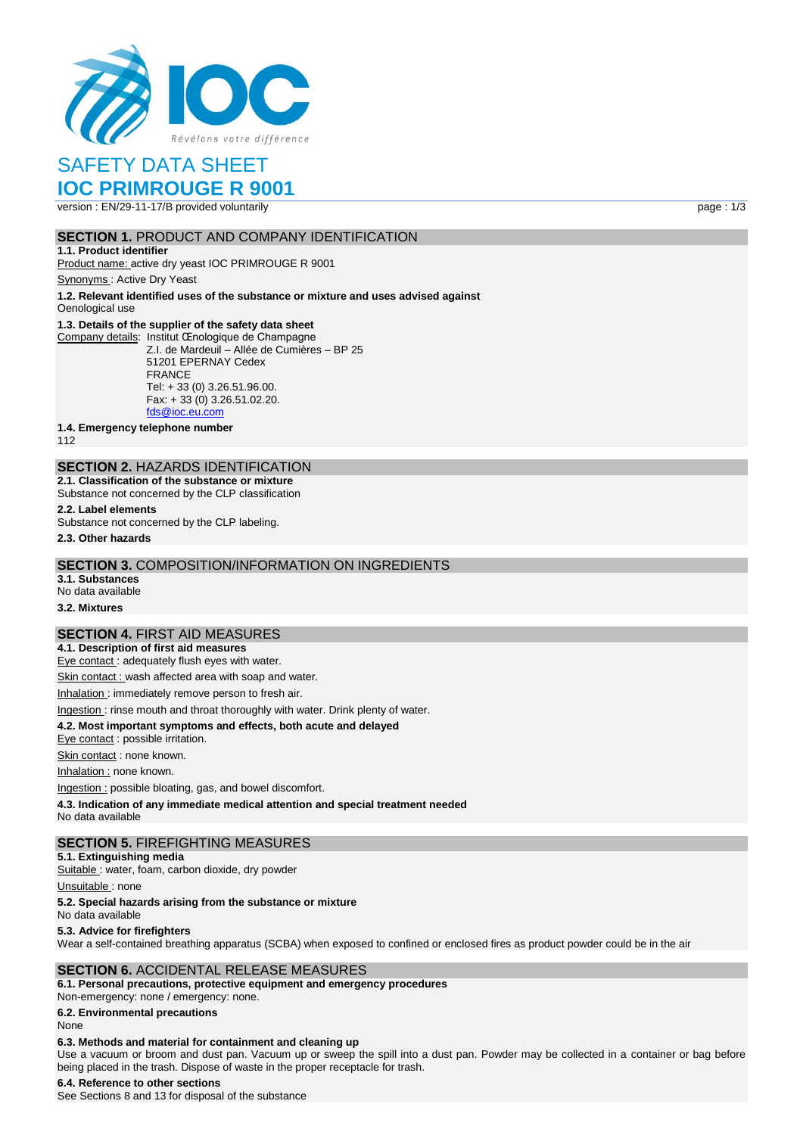

# SAFETY DATA SHEET

# **IOC PRIMROUGE R 9001**

version : EN/29-11-17/B provided voluntarily page : 1/3

# **SECTION 1.** PRODUCT AND COMPANY IDENTIFICATION

**1.1. Product identifier** Product name: active dry yeast IOC PRIMROUGE R 9001

Synonyms : Active Dry Yeast

**1.2. Relevant identified uses of the substance or mixture and uses advised against** Oenological use

#### **1.3. Details of the supplier of the safety data sheet**

Company details: Institut Œnologique de Champagne Z.I. de Mardeuil – Allée de Cumières – BP 25 51201 EPERNAY Cedex FRANCE Tel: + 33 (0) 3.26.51.96.00. Fax: + 33 (0) 3.26.51.02.20. [fds@ioc.eu.com](mailto:fds@ioc.eu.com)

**1.4. Emergency telephone number**

112

# **SECTION 2.** HAZARDS IDENTIFICATION

**2.1. Classification of the substance or mixture** Substance not concerned by the CLP classification

**2.2. Label elements**

Substance not concerned by the CLP labeling.

**2.3. Other hazards**

## **SECTION 3.** COMPOSITION/INFORMATION ON INGREDIENTS

**3.1. Substances** No data available

**3.2. Mixtures**

# **SECTION 4.** FIRST AID MEASURES

**4.1. Description of first aid measures**

Eye contact : adequately flush eyes with water.

Skin contact : wash affected area with soap and water.

Inhalation : immediately remove person to fresh air.

#### Ingestion : rinse mouth and throat thoroughly with water. Drink plenty of water.

**4.2. Most important symptoms and effects, both acute and delayed**

Eye contact : possible irritation.

Skin contact : none known.

Inhalation : none known.

Ingestion : possible bloating, gas, and bowel discomfort.

**4.3. Indication of any immediate medical attention and special treatment needed**

No data available

## **SECTION 5.** FIREFIGHTING MEASURES

**5.1. Extinguishing media**

Suitable : water, foam, carbon dioxide, dry powder

Unsuitable: none

#### **5.2. Special hazards arising from the substance or mixture**

No data available

#### **5.3. Advice for firefighters**

Wear a self-contained breathing apparatus (SCBA) when exposed to confined or enclosed fires as product powder could be in the air

## **SECTION 6.** ACCIDENTAL RELEASE MEASURES

**6.1. Personal precautions, protective equipment and emergency procedures** Non‐emergency: none / emergency: none.

**6.2. Environmental precautions**

# None

# **6.3. Methods and material for containment and cleaning up**

Use a vacuum or broom and dust pan. Vacuum up or sweep the spill into a dust pan. Powder may be collected in a container or bag before being placed in the trash. Dispose of waste in the proper receptacle for trash.

# **6.4. Reference to other sections**

See Sections 8 and 13 for disposal of the substance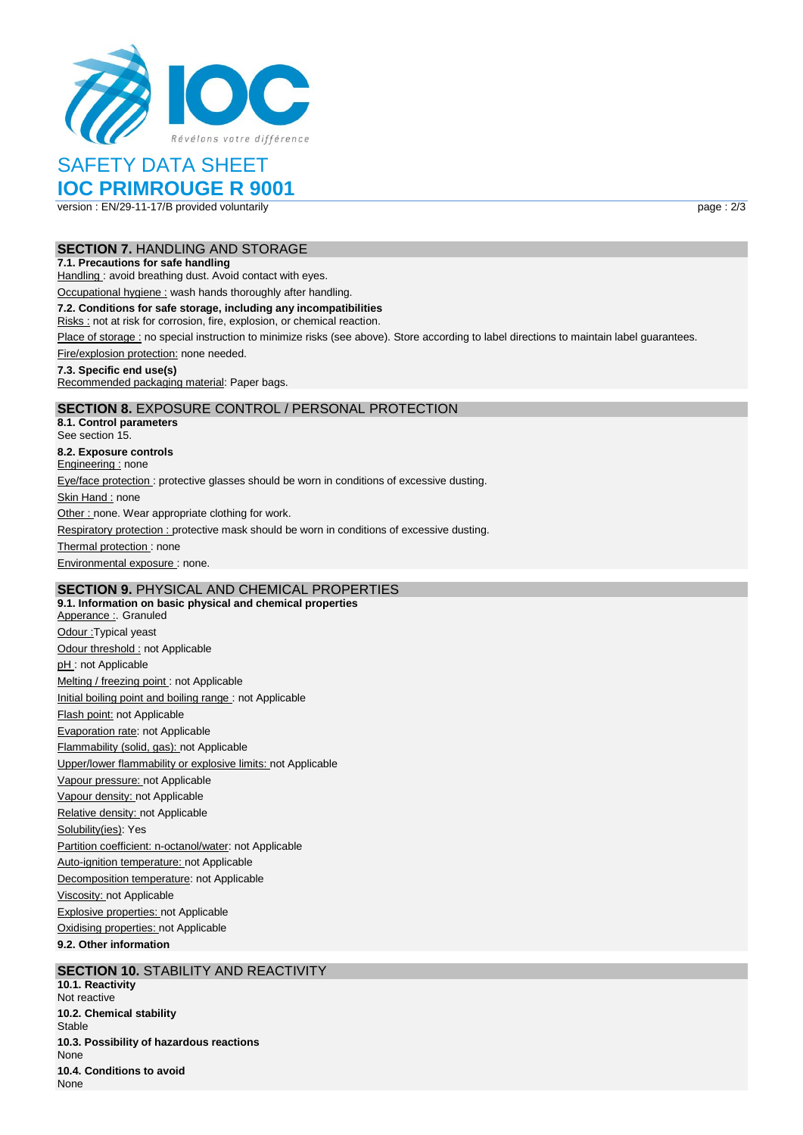

# SAFETY DATA SHEET

# **IOC PRIMROUGE R 9001**

version : EN/29-11-17/B provided voluntarily page : 2/3

## **SECTION 7.** HANDLING AND STORAGE

#### **7.1. Precautions for safe handling**

Handling : avoid breathing dust. Avoid contact with eyes.

Occupational hygiene : wash hands thoroughly after handling.

#### **7.2. Conditions for safe storage, including any incompatibilities**

Risks : not at risk for corrosion, fire, explosion, or chemical reaction.

Place of storage : no special instruction to minimize risks (see above). Store according to label directions to maintain label guarantees.

Fire/explosion protection: none needed.

#### **7.3. Specific end use(s)**

Recommended packaging material: Paper bags.

# **SECTION 8.** EXPOSURE CONTROL / PERSONAL PROTECTION

**8.1. Control parameters** See section 15. **8.2. Exposure controls** Engineering : none Eye/face protection : protective glasses should be worn in conditions of excessive dusting. Skin Hand : none Other : none. Wear appropriate clothing for work. Respiratory protection : protective mask should be worn in conditions of excessive dusting. Thermal protection: none Environmental exposure : none.

# **SECTION 9.** PHYSICAL AND CHEMICAL PROPERTIES

**9.1. Information on basic physical and chemical properties** Apperance : Granuled Odour :Typical yeast Odour threshold : not Applicable pH: not Applicable Melting / freezing point : not Applicable Initial boiling point and boiling range : not Applicable Flash point: not Applicable Evaporation rate: not Applicable Flammability (solid, gas): not Applicable Upper/lower flammability or explosive limits: not Applicable Vapour pressure: not Applicable Vapour density: not Applicable Relative density: not Applicable Solubility(ies): Yes Partition coefficient: n-octanol/water: not Applicable Auto-ignition temperature: not Applicable Decomposition temperature: not Applicable Viscosity: not Applicable Explosive properties: not Applicable Oxidising properties: not Applicable **9.2. Other information**

# **SECTION 10. STABILITY AND REACTIVITY**

**10.1. Reactivity** Not reactive **10.2. Chemical stability** Stable **10.3. Possibility of hazardous reactions** None **10.4. Conditions to avoid** None